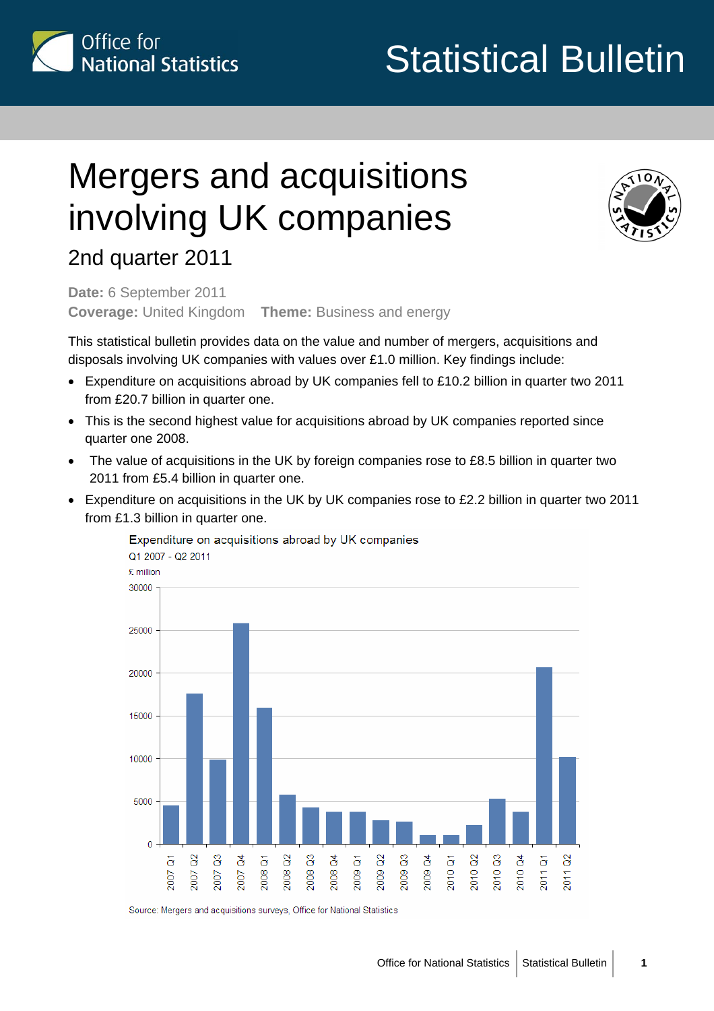

# Statistical Bulletin

# Mergers and acquisitions involving UK companies 2nd quarter 2011



**Date:** 6 September 2011

**Coverage:** United Kingdom **Theme:** Business and energy

This statistical bulletin provides data on the value and number of mergers, acquisitions and disposals involving UK companies with values over £1.0 million. Key findings include:

- Expenditure on acquisitions abroad by UK companies fell to £10.2 billion in quarter two 2011 from £20.7 billion in quarter one.
- This is the second highest value for acquisitions abroad by UK companies reported since quarter one 2008.
- The value of acquisitions in the UK by foreign companies rose to £8.5 billion in quarter two 2011 from £5.4 billion in quarter one.
- Expenditure on acquisitions in the UK by UK companies rose to £2.2 billion in quarter two 2011 from £1.3 billion in quarter one.



Source: Mergers and acquisitions surveys, Office for National Statistics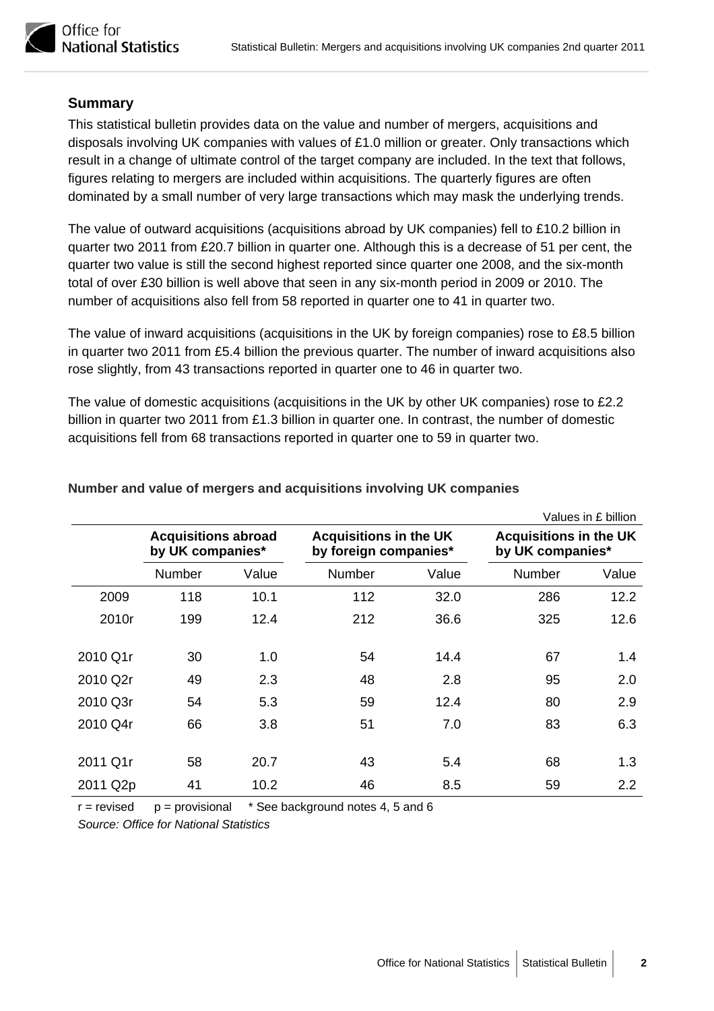

# **Summary**

This statistical bulletin provides data on the value and number of mergers, acquisitions and disposals involving UK companies with values of £1.0 million or greater. Only transactions which result in a change of ultimate control of the target company are included. In the text that follows, figures relating to mergers are included within acquisitions. The quarterly figures are often dominated by a small number of very large transactions which may mask the underlying trends.

The value of outward acquisitions (acquisitions abroad by UK companies) fell to £10.2 billion in quarter two 2011 from £20.7 billion in quarter one. Although this is a decrease of 51 per cent, the quarter two value is still the second highest reported since quarter one 2008, and the six-month total of over £30 billion is well above that seen in any six-month period in 2009 or 2010. The number of acquisitions also fell from 58 reported in quarter one to 41 in quarter two.

The value of inward acquisitions (acquisitions in the UK by foreign companies) rose to £8.5 billion in quarter two 2011 from £5.4 billion the previous quarter. The number of inward acquisitions also rose slightly, from 43 transactions reported in quarter one to 46 in quarter two.

The value of domestic acquisitions (acquisitions in the UK by other UK companies) rose to £2.2 billion in quarter two 2011 from £1.3 billion in quarter one. In contrast, the number of domestic acquisitions fell from 68 transactions reported in quarter one to 59 in quarter two.

| Values in £ billion   |                                                |       |                                                        |       |                                                   |                  |  |  |  |
|-----------------------|------------------------------------------------|-------|--------------------------------------------------------|-------|---------------------------------------------------|------------------|--|--|--|
|                       | <b>Acquisitions abroad</b><br>by UK companies* |       | <b>Acquisitions in the UK</b><br>by foreign companies* |       | <b>Acquisitions in the UK</b><br>by UK companies* |                  |  |  |  |
|                       | Number                                         | Value | Number                                                 | Value | Number                                            | Value            |  |  |  |
| 2009                  | 118                                            | 10.1  | 112                                                    | 32.0  | 286                                               | 12.2             |  |  |  |
| 2010r                 | 199                                            | 12.4  | 212                                                    | 36.6  | 325                                               | 12.6             |  |  |  |
|                       |                                                |       |                                                        |       |                                                   |                  |  |  |  |
| 2010 Q1r              | 30                                             | 1.0   | 54                                                     | 14.4  | 67                                                | 1.4              |  |  |  |
| 2010 Q2r              | 49                                             | 2.3   | 48                                                     | 2.8   | 95                                                | 2.0              |  |  |  |
| 2010 Q3r              | 54                                             | 5.3   | 59                                                     | 12.4  | 80                                                | 2.9              |  |  |  |
| 2010 Q4r              | 66                                             | 3.8   | 51                                                     | 7.0   | 83                                                | 6.3              |  |  |  |
|                       |                                                |       |                                                        |       |                                                   |                  |  |  |  |
| 2011 Q1r              | 58                                             | 20.7  | 43                                                     | 5.4   | 68                                                | 1.3              |  |  |  |
| 2011 Q <sub>2</sub> p | 41                                             | 10.2  | 46                                                     | 8.5   | 59                                                | $2.2\phantom{0}$ |  |  |  |

## **Number and value of mergers and acquisitions involving UK companies**

 $r =$  revised  $p =$  provisional  $*$  See background notes 4, 5 and 6

*Source: Office for National Statistics*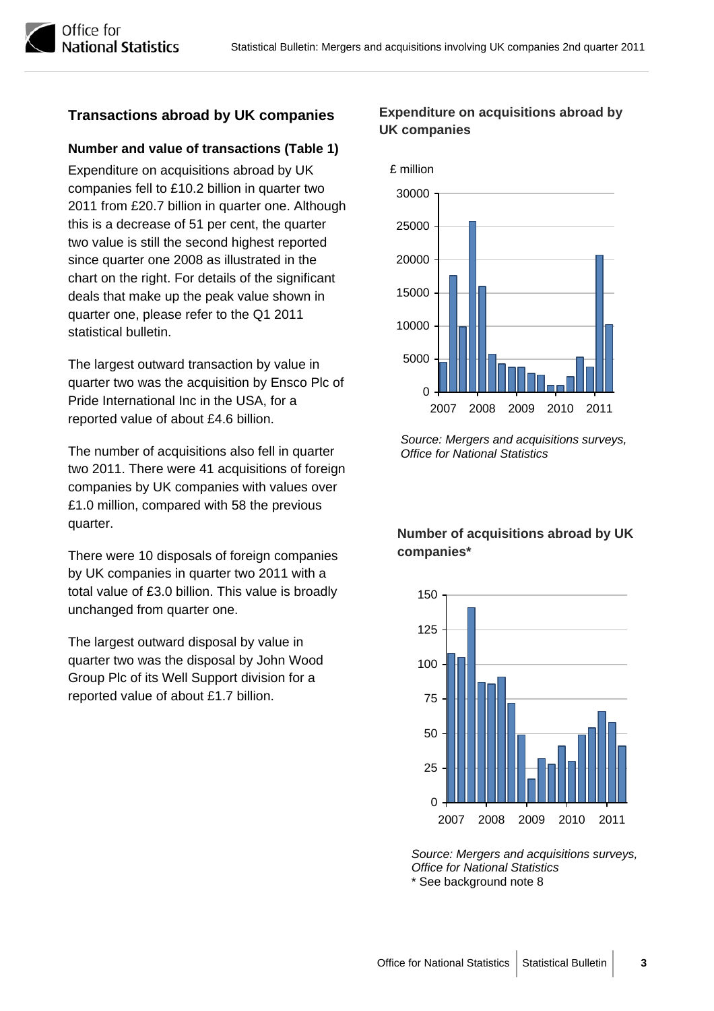# **Transactions abroad by UK companies**

## **Number and value of transactions (Table 1)**

Expenditure on acquisitions abroad by UK companies fell to £10.2 billion in quarter two 2011 from £20.7 billion in quarter one. Although this is a decrease of 51 per cent, the quarter two value is still the second highest reported since quarter one 2008 as illustrated in the chart on the right. For details of the significant deals that make up the peak value shown in quarter one, please refer to the Q1 2011 statistical bulletin.

The largest outward transaction by value in quarter two was the acquisition by Ensco Plc of Pride International Inc in the USA, for a reported value of about £4.6 billion.

The number of acquisitions also fell in quarter two 2011. There were 41 acquisitions of foreign companies by UK companies with values over £1.0 million, compared with 58 the previous quarter.

There were 10 disposals of foreign companies by UK companies in quarter two 2011 with a total value of £3.0 billion. This value is broadly unchanged from quarter one.

The largest outward disposal by value in quarter two was the disposal by John Wood Group Plc of its Well Support division for a reported value of about £1.7 billion.

# **Expenditure on acquisitions abroad by UK companies**



*Source: Mergers and acquisitions surveys, Office for National Statistics* 

# **Number of acquisitions abroad by UK companies\***



*Source: Mergers and acquisitions surveys, Office for National Statistics*  \* See background note 8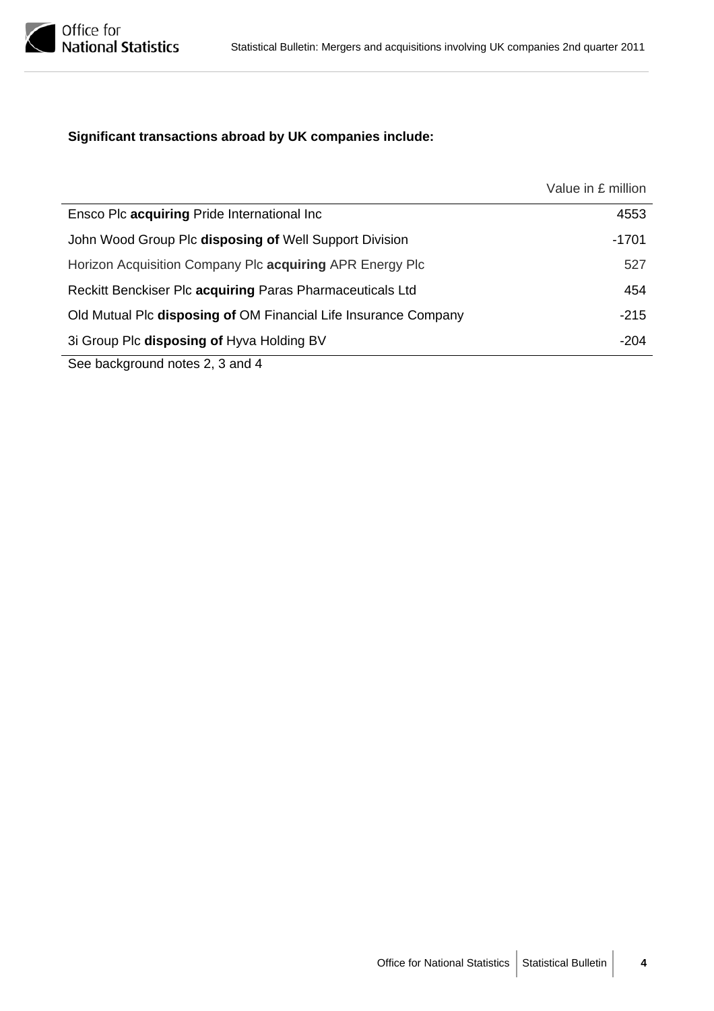

### **Significant transactions abroad by UK companies include:**

|                                                                 | Value in £ million |
|-----------------------------------------------------------------|--------------------|
| Ensco Plc acquiring Pride International Inc                     | 4553               |
| John Wood Group Plc disposing of Well Support Division          | $-1701$            |
| Horizon Acquisition Company Plc acquiring APR Energy Plc        | 527                |
| Reckitt Benckiser Plc acquiring Paras Pharmaceuticals Ltd       | 454                |
| Old Mutual Plc disposing of OM Financial Life Insurance Company | $-215$             |
| 3i Group Plc disposing of Hyva Holding BV                       | $-204$             |
| See background notes 2, 3 and 4                                 |                    |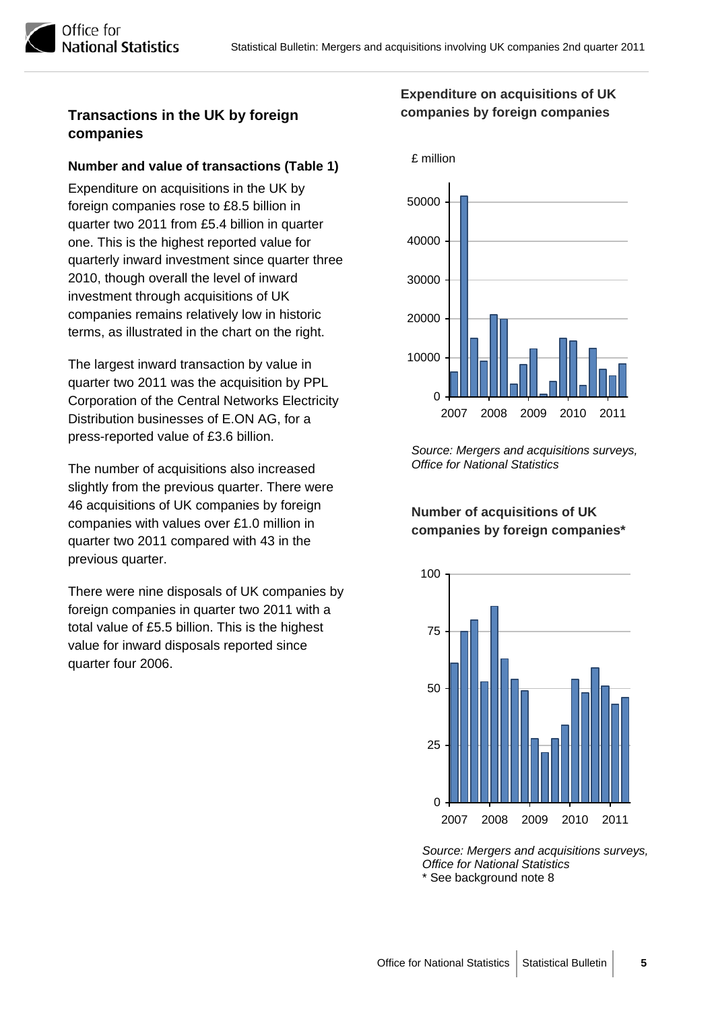

# **Transactions in the UK by foreign companies by foreign companies companies**

## **Number and value of transactions (Table 1)**

Expenditure on acquisitions in the UK by foreign companies rose to £8.5 billion in quarter two 2011 from £5.4 billion in quarter one. This is the highest reported value for quarterly inward investment since quarter three 2010, though overall the level of inward investment through acquisitions of UK companies remains relatively low in historic terms, as illustrated in the chart on the right.

The largest inward transaction by value in quarter two 2011 was the acquisition by PPL Corporation of the Central Networks Electricity Distribution businesses of E.ON AG, for a press-reported value of £3.6 billion.

The number of acquisitions also increased slightly from the previous quarter. There were 46 acquisitions of UK companies by foreign companies with values over £1.0 million in quarter two 2011 compared with 43 in the previous quarter.

There were nine disposals of UK companies by foreign companies in quarter two 2011 with a total value of £5.5 billion. This is the highest value for inward disposals reported since quarter four 2006.

# **Expenditure on acquisitions of UK**



#### *Source: Mergers and acquisitions surveys, Office for National Statistics*

# **Number of acquisitions of UK companies by foreign companies\***



*Source: Mergers and acquisitions surveys, Office for National Statistics*  \* See background note 8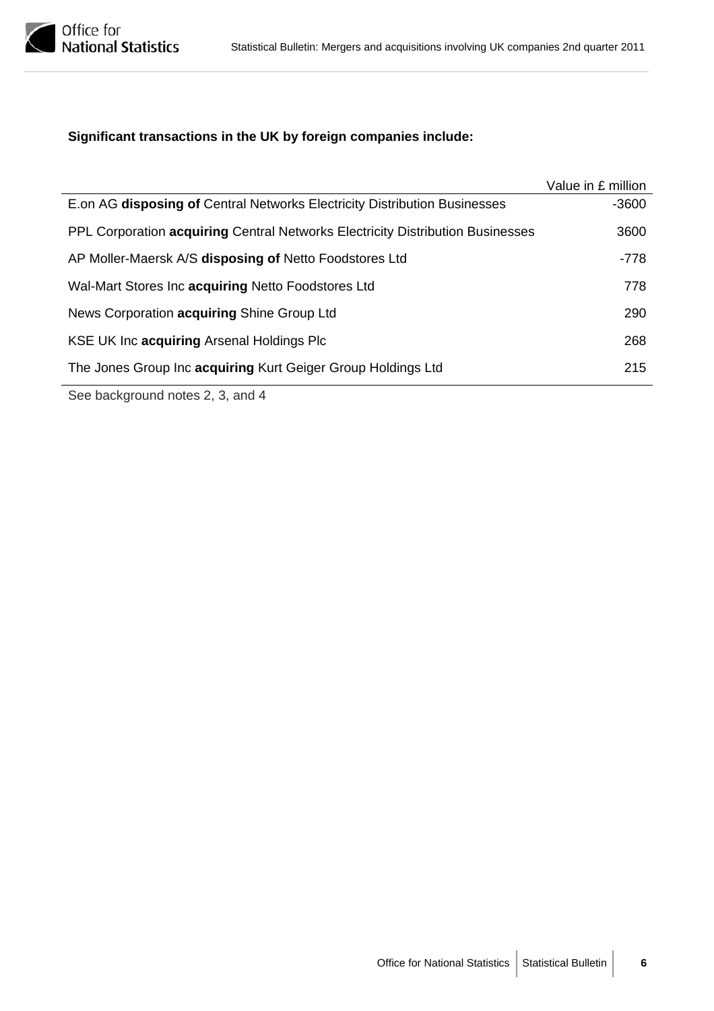

## **Significant transactions in the UK by foreign companies include:**

|                                                                                | Value in £ million |
|--------------------------------------------------------------------------------|--------------------|
| E.on AG disposing of Central Networks Electricity Distribution Businesses      | $-3600$            |
| PPL Corporation acquiring Central Networks Electricity Distribution Businesses | 3600               |
| AP Moller-Maersk A/S disposing of Netto Foodstores Ltd                         | $-778$             |
| Wal-Mart Stores Inc acquiring Netto Foodstores Ltd                             | 778                |
| News Corporation acquiring Shine Group Ltd                                     | 290                |
| KSE UK Inc acquiring Arsenal Holdings Plc                                      | 268                |
| The Jones Group Inc acquiring Kurt Geiger Group Holdings Ltd                   | 215                |

See background notes 2, 3, and 4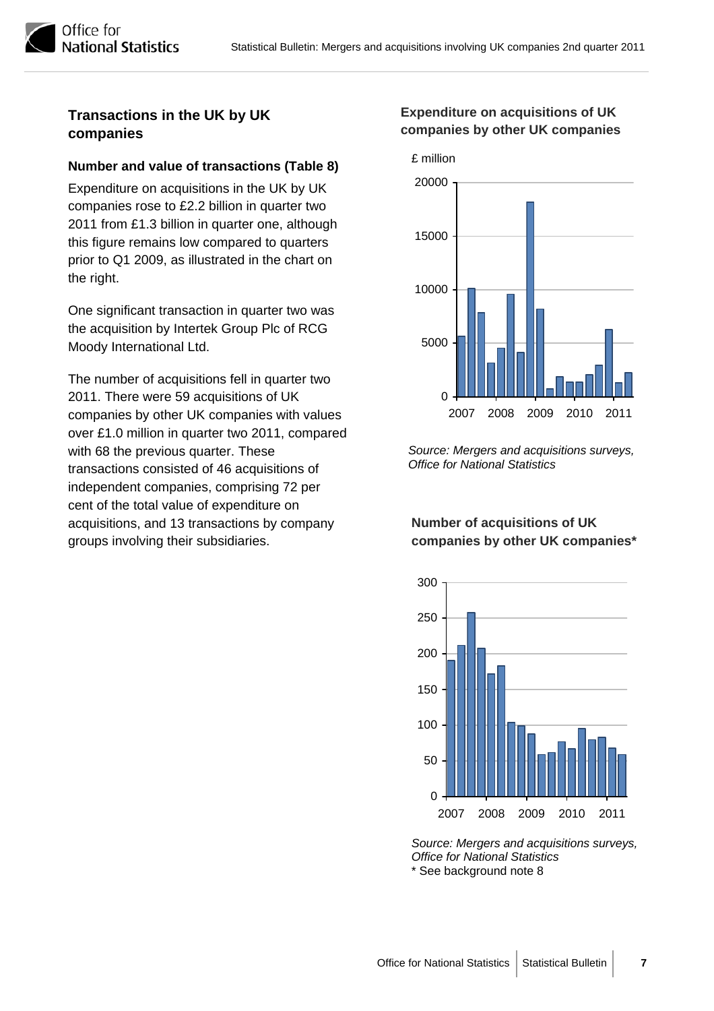

# **Transactions in the UK by UK companies**

### **Number and value of transactions (Table 8)**

Expenditure on acquisitions in the UK by UK companies rose to £2.2 billion in quarter two 2011 from £1.3 billion in quarter one, although this figure remains low compared to quarters prior to Q1 2009, as illustrated in the chart on the right.

One significant transaction in quarter two was the acquisition by Intertek Group Plc of RCG Moody International Ltd.

The number of acquisitions fell in quarter two 2011. There were 59 acquisitions of UK companies by other UK companies with values over £1.0 million in quarter two 2011, compared with 68 the previous quarter. These transactions consisted of 46 acquisitions of independent companies, comprising 72 per cent of the total value of expenditure on acquisitions, and 13 transactions by company groups involving their subsidiaries.

# **Expenditure on acquisitions of UK companies by other UK companies**



*Source: Mergers and acquisitions surveys, Office for National Statistics* 

## **Number of acquisitions of UK companies by other UK companies\***



*Source: Mergers and acquisitions surveys, Office for National Statistics*  \* See background note 8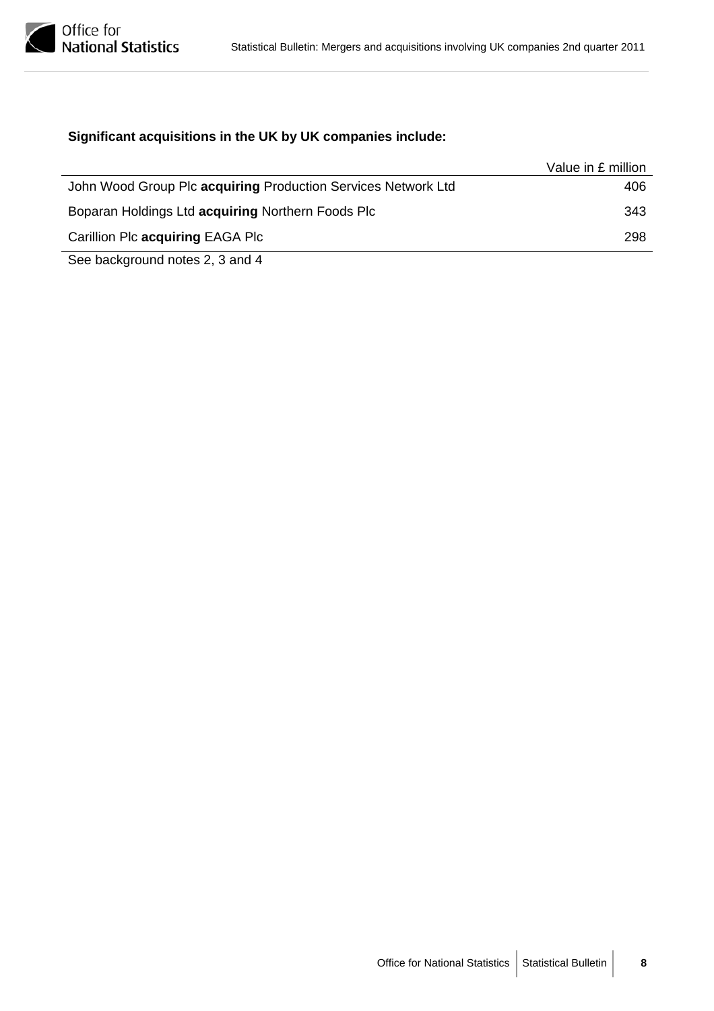

#### **Significant acquisitions in the UK by UK companies include:**

|                                                               | Value in £ million |
|---------------------------------------------------------------|--------------------|
| John Wood Group Plc acquiring Production Services Network Ltd | 406                |
| Boparan Holdings Ltd acquiring Northern Foods Plc             | 343                |
| Carillion Plc acquiring EAGA Plc                              | 298                |

See background notes 2, 3 and 4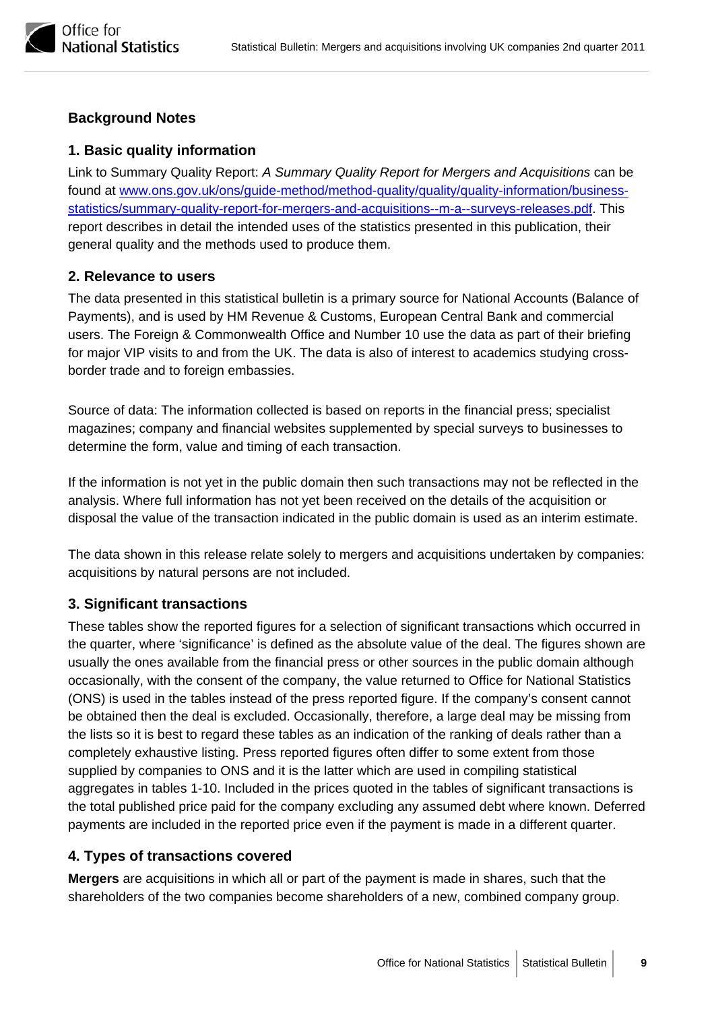# **Background Notes**

# **1. Basic quality information**

Link to Summary Quality Report: *A Summary Quality Report for Mergers and Acquisitions* can be found at [www.ons.gov.uk/ons/guide-method/method-quality/quality/quality-information/business](http://www.ons.gov.uk/ons/guide-method/method-quality/quality/quality-information/business-statistics/summary-quality-report-for-mergers-and-acquisitions--m-a--surveys-releases.pdf)[statistics/summary-quality-report-for-mergers-and-acquisitions--m-a--surveys-releases.pdf.](http://www.ons.gov.uk/ons/guide-method/method-quality/quality/quality-information/business-statistics/summary-quality-report-for-mergers-and-acquisitions--m-a--surveys-releases.pdf) This report describes in detail the intended uses of the statistics presented in this publication, their general quality and the methods used to produce them.

# **2. Relevance to users**

The data presented in this statistical bulletin is a primary source for National Accounts (Balance of Payments), and is used by HM Revenue & Customs, European Central Bank and commercial users. The Foreign & Commonwealth Office and Number 10 use the data as part of their briefing for major VIP visits to and from the UK. The data is also of interest to academics studying crossborder trade and to foreign embassies.

Source of data: The information collected is based on reports in the financial press; specialist magazines; company and financial websites supplemented by special surveys to businesses to determine the form, value and timing of each transaction.

If the information is not yet in the public domain then such transactions may not be reflected in the analysis. Where full information has not yet been received on the details of the acquisition or disposal the value of the transaction indicated in the public domain is used as an interim estimate.

The data shown in this release relate solely to mergers and acquisitions undertaken by companies: acquisitions by natural persons are not included.

# **3. Significant transactions**

These tables show the reported figures for a selection of significant transactions which occurred in the quarter, where 'significance' is defined as the absolute value of the deal. The figures shown are usually the ones available from the financial press or other sources in the public domain although occasionally, with the consent of the company, the value returned to Office for National Statistics (ONS) is used in the tables instead of the press reported figure. If the company's consent cannot be obtained then the deal is excluded. Occasionally, therefore, a large deal may be missing from the lists so it is best to regard these tables as an indication of the ranking of deals rather than a completely exhaustive listing. Press reported figures often differ to some extent from those supplied by companies to ONS and it is the latter which are used in compiling statistical aggregates in tables 1-10. Included in the prices quoted in the tables of significant transactions is the total published price paid for the company excluding any assumed debt where known. Deferred payments are included in the reported price even if the payment is made in a different quarter.

# **4. Types of transactions covered**

**Mergers** are acquisitions in which all or part of the payment is made in shares, such that the shareholders of the two companies become shareholders of a new, combined company group.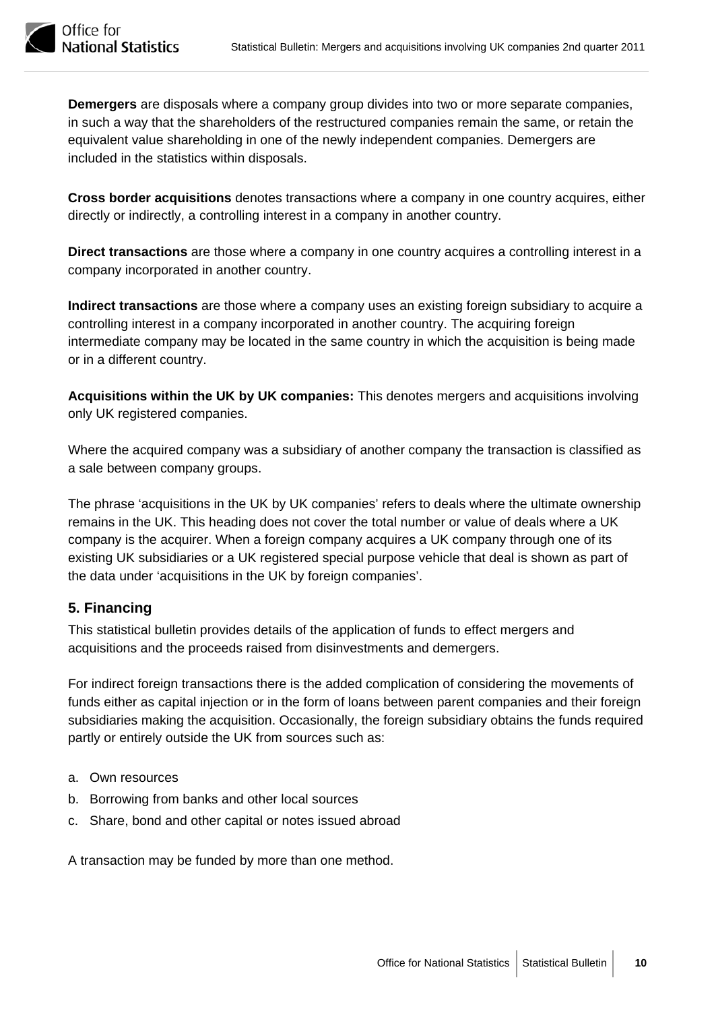

**Demergers** are disposals where a company group divides into two or more separate companies, in such a way that the shareholders of the restructured companies remain the same, or retain the equivalent value shareholding in one of the newly independent companies. Demergers are included in the statistics within disposals.

**Cross border acquisitions** denotes transactions where a company in one country acquires, either directly or indirectly, a controlling interest in a company in another country.

**Direct transactions** are those where a company in one country acquires a controlling interest in a company incorporated in another country.

**Indirect transactions** are those where a company uses an existing foreign subsidiary to acquire a controlling interest in a company incorporated in another country. The acquiring foreign intermediate company may be located in the same country in which the acquisition is being made or in a different country.

**Acquisitions within the UK by UK companies:** This denotes mergers and acquisitions involving only UK registered companies.

Where the acquired company was a subsidiary of another company the transaction is classified as a sale between company groups.

The phrase 'acquisitions in the UK by UK companies' refers to deals where the ultimate ownership remains in the UK. This heading does not cover the total number or value of deals where a UK company is the acquirer. When a foreign company acquires a UK company through one of its existing UK subsidiaries or a UK registered special purpose vehicle that deal is shown as part of the data under 'acquisitions in the UK by foreign companies'.

# **5. Financing**

This statistical bulletin provides details of the application of funds to effect mergers and acquisitions and the proceeds raised from disinvestments and demergers.

For indirect foreign transactions there is the added complication of considering the movements of funds either as capital injection or in the form of loans between parent companies and their foreign subsidiaries making the acquisition. Occasionally, the foreign subsidiary obtains the funds required partly or entirely outside the UK from sources such as:

- a. Own resources
- b. Borrowing from banks and other local sources
- c. Share, bond and other capital or notes issued abroad

A transaction may be funded by more than one method.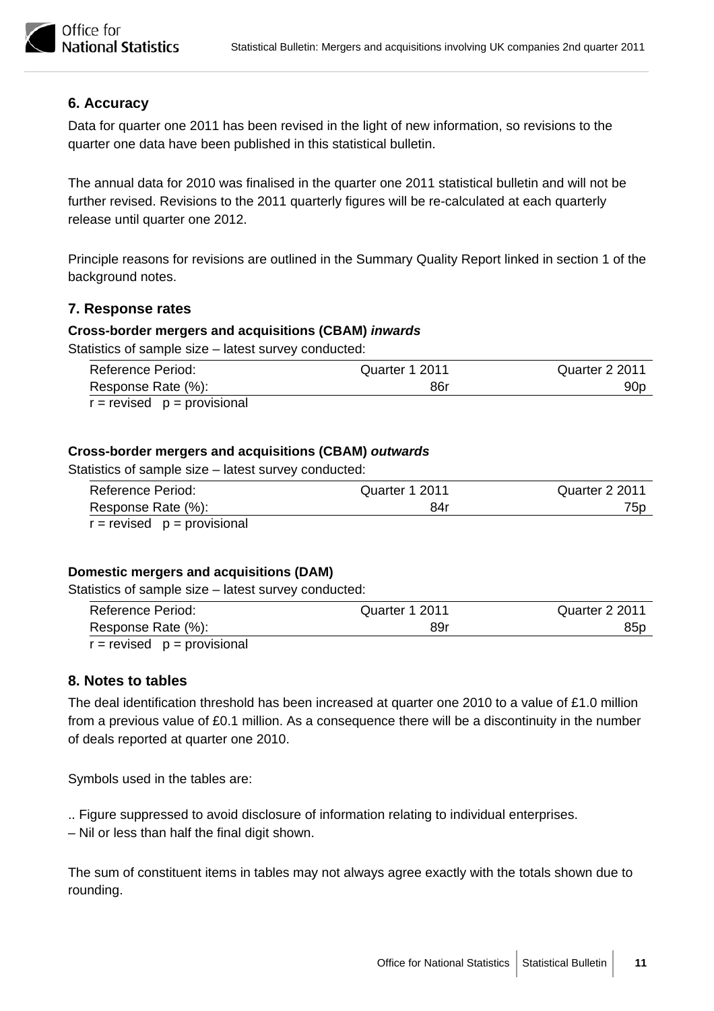

# **6. Accuracy**

Data for quarter one 2011 has been revised in the light of new information, so revisions to the quarter one data have been published in this statistical bulletin.

The annual data for 2010 was finalised in the quarter one 2011 statistical bulletin and will not be further revised. Revisions to the 2011 quarterly figures will be re-calculated at each quarterly release until quarter one 2012.

Principle reasons for revisions are outlined in the Summary Quality Report linked in section 1 of the background notes.

## **7. Response rates**

#### **Cross-border mergers and acquisitions (CBAM)** *inwards*

Statistics of sample size – latest survey conducted:

| Reference Period:               | Quarter 1 2011 | Quarter 2 2011 |
|---------------------------------|----------------|----------------|
| Response Rate (%):              | 86r            | 90p            |
| $r =$ revised $p =$ provisional |                |                |

#### **Cross-border mergers and acquisitions (CBAM)** *outwards*

Statistics of sample size – latest survey conducted:

| Reference Period:               | Quarter 1 2011 | Quarter 2 2011 |
|---------------------------------|----------------|----------------|
| Response Rate (%):              | 84r            | 75p            |
| $r =$ revised $p =$ provisional |                |                |

#### **Domestic mergers and acquisitions (DAM)**

Statistics of sample size – latest survey conducted:

| Reference Period:               | Quarter 1 2011 | Quarter 2 2011  |
|---------------------------------|----------------|-----------------|
| Response Rate (%):              | 89r            | 85 <sub>p</sub> |
| $r =$ revised $p =$ provisional |                |                 |

#### **8. Notes to tables**

The deal identification threshold has been increased at quarter one 2010 to a value of £1.0 million from a previous value of £0.1 million. As a consequence there will be a discontinuity in the number of deals reported at quarter one 2010.

Symbols used in the tables are:

.. Figure suppressed to avoid disclosure of information relating to individual enterprises.

– Nil or less than half the final digit shown.

The sum of constituent items in tables may not always agree exactly with the totals shown due to rounding.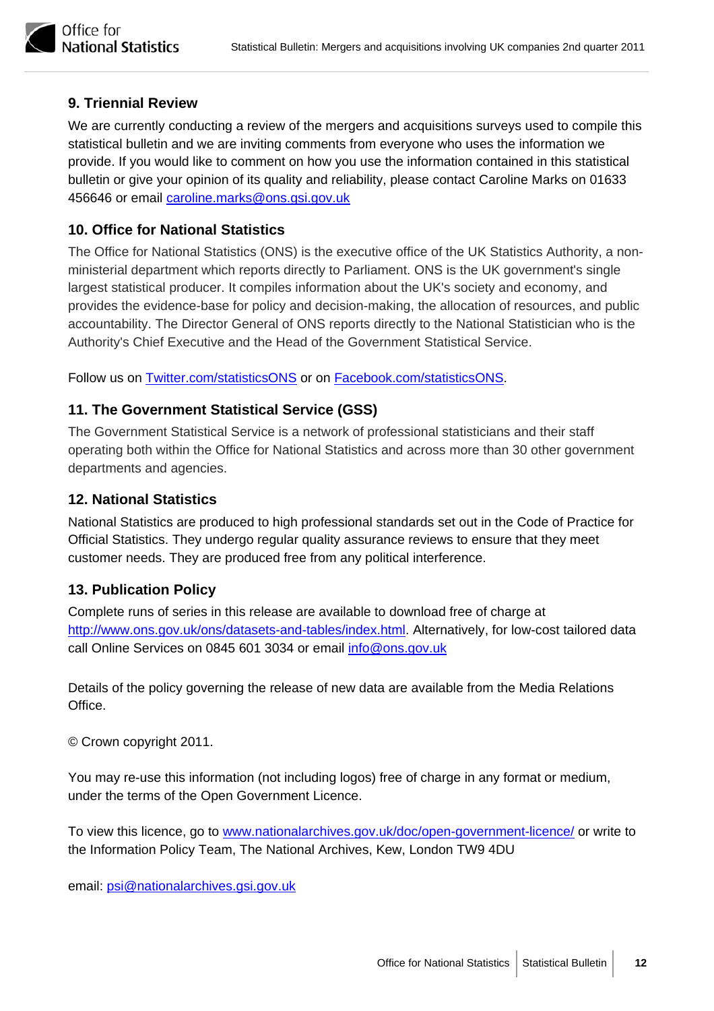

# **9. Triennial Review**

We are currently conducting a review of the mergers and acquisitions surveys used to compile this statistical bulletin and we are inviting comments from everyone who uses the information we provide. If you would like to comment on how you use the information contained in this statistical bulletin or give your opinion of its quality and reliability, please contact Caroline Marks on 01633 456646 or email [caroline.marks@ons.gsi.gov.uk](mailto:caroline.marks@ons.gsi.gov.uk) 

# **10. Office for National Statistics**

The Office for National Statistics (ONS) is the executive office of the UK Statistics Authority, a nonministerial department which reports directly to Parliament. ONS is the UK government's single largest statistical producer. It compiles information about the UK's society and economy, and provides the evidence-base for policy and decision-making, the allocation of resources, and public accountability. The Director General of ONS reports directly to the National Statistician who is the Authority's Chief Executive and the Head of the Government Statistical Service.

Follow us on [Twitter.com/statisticsONS](http://www.twitter.com/statisticsONS) or on [Facebook.com/statisticsONS.](http://www.facebook.com/statisticsONS)

## **11. The Government Statistical Service (GSS)**

The Government Statistical Service is a network of professional statisticians and their staff operating both within the Office for National Statistics and across more than 30 other government departments and agencies.

## **12. National Statistics**

National Statistics are produced to high professional standards set out in the Code of Practice for Official Statistics. They undergo regular quality assurance reviews to ensure that they meet customer needs. They are produced free from any political interference.

## **13. Publication Policy**

Complete runs of series in this release are available to download free of charge at [http://www.ons.gov.uk/ons/datasets-and-tables/index.html.](http://www.ons.gov.uk/ons/datasets-and-tables/index.html) Alternatively, for low-cost tailored data call Online Services on 0845 601 3034 or email [info@ons.gov.uk](mailto:info@ons.gov.uk)

Details of the policy governing the release of new data are available from the Media Relations Office.

© Crown copyright 2011.

You may re-use this information (not including logos) free of charge in any format or medium, under the terms of the Open Government Licence.

To view this licence, go to [www.nationalarchives.gov.uk/doc/open-government-licence/](http://www.nationalarchives.gov.uk/doc/open-government-licence/) or write to the Information Policy Team, The National Archives, Kew, London TW9 4DU

email: [psi@nationalarchives.gsi.gov.uk](mailto:psi@nationalarchives.gsi.gov.uk)

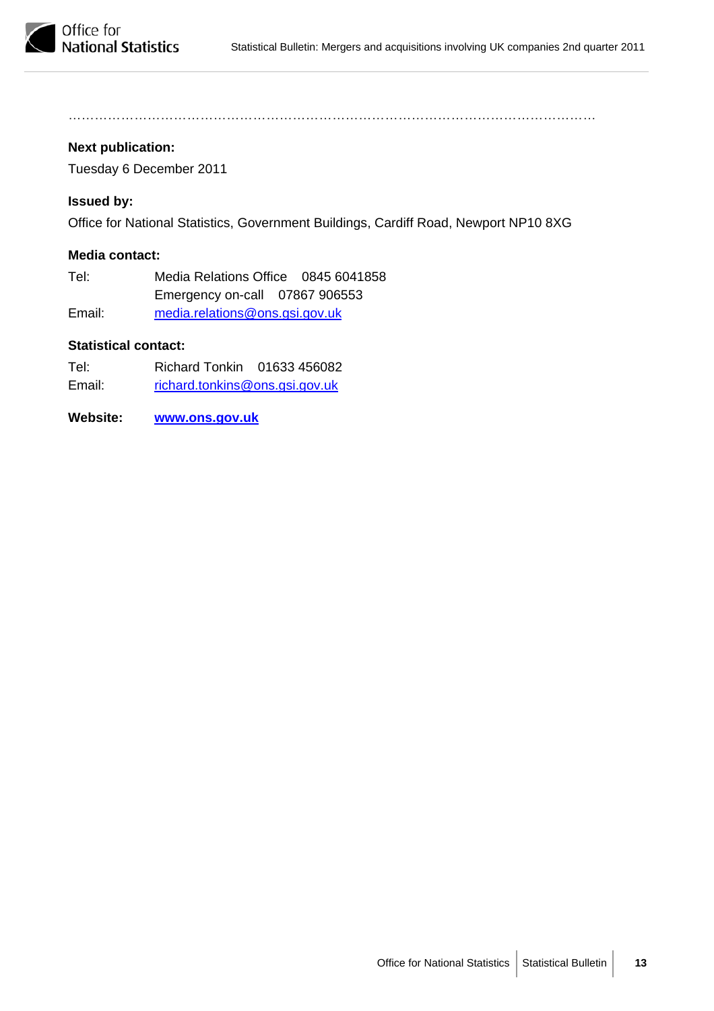



#### **Next publication:**

Tuesday 6 December 2011

#### **Issued by:**

Office for National Statistics, Government Buildings, Cardiff Road, Newport NP10 8XG

#### **Media contact:**

| Tel:   | Media Relations Office 0845 6041858 |  |
|--------|-------------------------------------|--|
|        | Emergency on-call 07867 906553      |  |
| Email: | media.relations@ons.gsi.gov.uk      |  |

#### **Statistical contact:**

- Tel: Richard Tonkin 01633 456082 Email: richard.tonkins@ons.gsi.gov.uk
- **Website: [www.ons.gov.uk](http://www.ons.gov.uk/)**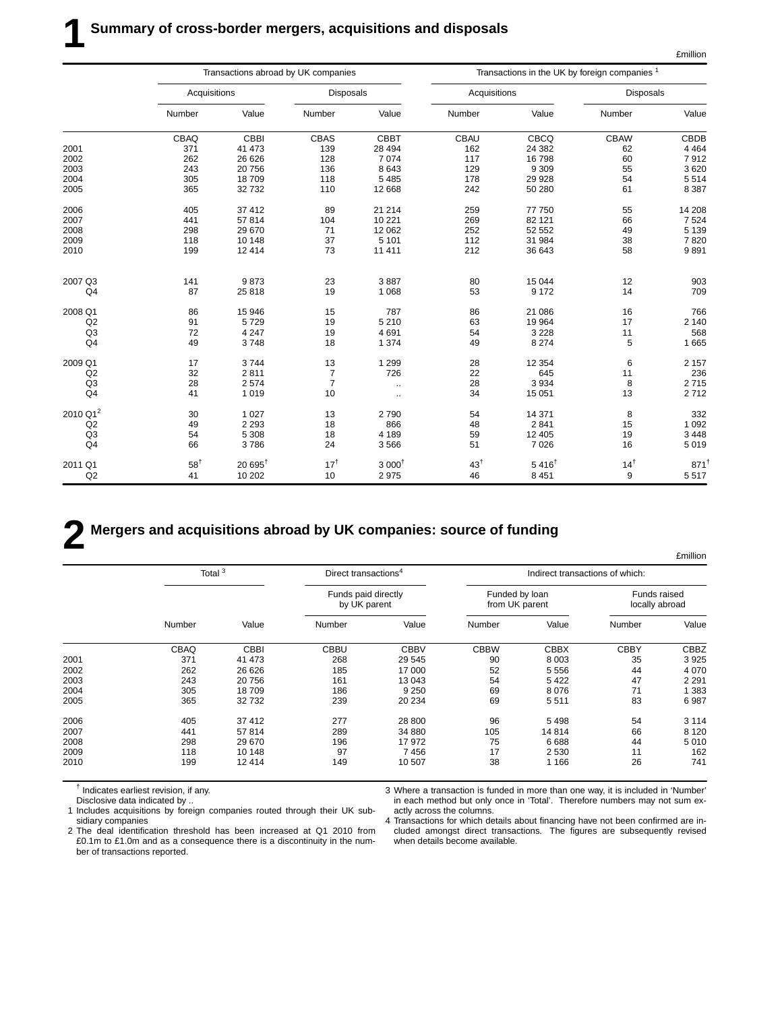|                      |                |                   | Transactions abroad by UK companies |                      |                                  |                  | Transactions in the UK by foreign companies <sup>1</sup> |                 |
|----------------------|----------------|-------------------|-------------------------------------|----------------------|----------------------------------|------------------|----------------------------------------------------------|-----------------|
|                      | Acquisitions   |                   | <b>Disposals</b>                    |                      | Acquisitions<br><b>Disposals</b> |                  |                                                          |                 |
|                      | Number         | Value             | Number                              | Value                | Number                           | Value            | Number                                                   | Value           |
|                      | CBAQ           | <b>CBBI</b>       | CBAS                                | <b>CBBT</b>          | CBAU                             | CBCQ             | <b>CBAW</b>                                              | CBDB            |
| 2001                 | 371            | 41 473            | 139                                 | 28 4 94              | 162                              | 24 3 8 2         | 62                                                       | 4 4 6 4         |
| 2002                 | 262            | 26 6 26           | 128                                 | 7074                 | 117                              | 16798            | 60                                                       | 7912            |
| 2003                 | 243            | 20756             | 136                                 | 8643                 | 129                              | 9 3 0 9          | 55                                                       | 3 6 20          |
| 2004                 | 305            | 18709             | 118                                 | 5485                 | 178                              | 29 9 28          | 54                                                       | 5514            |
| 2005                 | 365            | 32732             | 110                                 | 12 6 68              | 242                              | 50 280           | 61                                                       | 8 3 8 7         |
| 2006                 | 405            | 37 412            | 89                                  | 21 214               | 259                              | 77 750           | 55                                                       | 14 208          |
| 2007                 | 441            | 57814             | 104                                 | 10 2 21              | 269                              | 82 121           | 66                                                       | 7524            |
| 2008                 | 298            | 29 670            | 71                                  | 12 062               | 252                              | 52 552           | 49                                                       | 5 1 3 9         |
| 2009                 | 118            | 10 148            | 37                                  | 5 1 0 1              | 112                              | 31 984           | 38                                                       | 7820            |
| 2010                 | 199            | 12 4 14           | 73                                  | 11 411               | 212                              | 36 643           | 58                                                       | 9891            |
|                      |                |                   |                                     |                      |                                  |                  |                                                          |                 |
| 2007 Q3              | 141            | 9873              | 23                                  | 3887                 | 80                               | 15 044           | 12                                                       | 903             |
| Q <sub>4</sub>       | 87             | 25 818            | 19                                  | 1 0 6 8              | 53                               | 9 1 7 2          | 14                                                       | 709             |
| 2008 Q1              | 86             | 15 946            | 15                                  | 787                  | 86                               | 21 086           | 16                                                       | 766             |
| Q2                   | 91             | 5729              | 19                                  | 5 2 1 0              | 63                               | 19 9 64          | 17                                                       | 2 140           |
| Q <sub>3</sub>       | 72             | 4 2 4 7           | 19                                  | 4691                 | 54                               | 3 2 2 8          | 11                                                       | 568             |
| Q <sub>4</sub>       | 49             | 3748              | 18                                  | 1 3 7 4              | 49                               | 8 2 7 4          | 5                                                        | 1 6 6 5         |
| 2009 Q1              | 17             | 3744              | 13                                  | 1 2 9 9              | 28                               | 12 3 54          | 6                                                        | 2 1 5 7         |
| Q2                   | 32             | 2811              | 7                                   | 726                  | 22                               | 645              | 11                                                       | 236             |
| Q <sub>3</sub>       | 28             | 2574              | $\overline{7}$                      | $\ddot{\phantom{a}}$ | 28                               | 3 9 3 4          | 8                                                        | 2715            |
| Q4                   | 41             | 1019              | 10                                  | $\ddot{\phantom{a}}$ | 34                               | 15 051           | 13                                                       | 2712            |
| 2010 Q1 <sup>2</sup> | 30             | 1 0 2 7           | 13                                  | 2790                 | 54                               | 14 371           | 8                                                        | 332             |
| Q2                   | 49             | 2 2 9 3           | 18                                  | 866                  | 48                               | 2841             | 15                                                       | 1 0 9 2         |
| Q <sub>3</sub>       | 54             | 5 3 0 8           | 18                                  | 4 1 8 9              | 59                               | 12 4 05          | 19                                                       | 3 4 4 8         |
| Q <sub>4</sub>       | 66             | 3786              | 24                                  | 3566                 | 51                               | 7 0 26           | 16                                                       | 5019            |
| 2011 Q1              | $58^{\dagger}$ | $20695^{\dagger}$ | $17^{\dagger}$                      | $3000^{\dagger}$     | $43^{\dagger}$                   | $5416^{\dagger}$ | $14^{\dagger}$                                           | $871^{\dagger}$ |
| Q2                   | 41             | 10 20 2           | 10                                  | 2975                 | 46                               | 8 4 5 1          | 9                                                        | 5517            |

# **2 Mergers and acquisitions abroad by UK companies: source of funding**

£million Total 3 **Direct transactions Direct transactions Indirect transactions of which:** Funds paid directly **Funded by loan** Funds raised<br>by UK parent from UK parent locally abroad from UK parent Number Value Number Value Number Value Number Value CBAQ CBBI CBBU CBBV CBBW CBBX CBBY CBBZ 2001 371 41 473 268 29 545 90 8 003 35 3 925 2002 262 26 626 185 17 000 52 5 556 44 4 070 2003 243 20 756 161 13 043 54 5 422 47 2 291 2004 305 18 709 186 9 250 69 8 076 71 1 383 2005 365 32 732 239 20 234 69 5 511 83 6 987 2006 405 37 412 277 28 800 96 5 498 54 3 114 2007 441 57 814 289 34 880 105 14 814 66 8 120 2008 298 29 670 196 17 972 75 6 688 44 5 010 2009 118 10 148 97 7 456 17 2 530 11 162 2010 199 12 414 149 10 507 38 1 166 26 741

† Indicates earliest revision, if any.

Disclosive data indicated by ..

1 Includes acquisitions by foreign companies routed through their UK subsidiary companies

2 The deal identification threshold has been increased at Q1 2010 from £0.1m to £1.0m and as a consequence there is a discontinuity in the number of transactions reported.

3 Where a transaction is funded in more than one way, it is included in 'Number' in each method but only once in 'Total'. Therefore numbers may not sum exactly across the columns.

4 Transactions for which details about financing have not been confirmed are included amongst direct transactions. The figures are subsequently revised when details become available.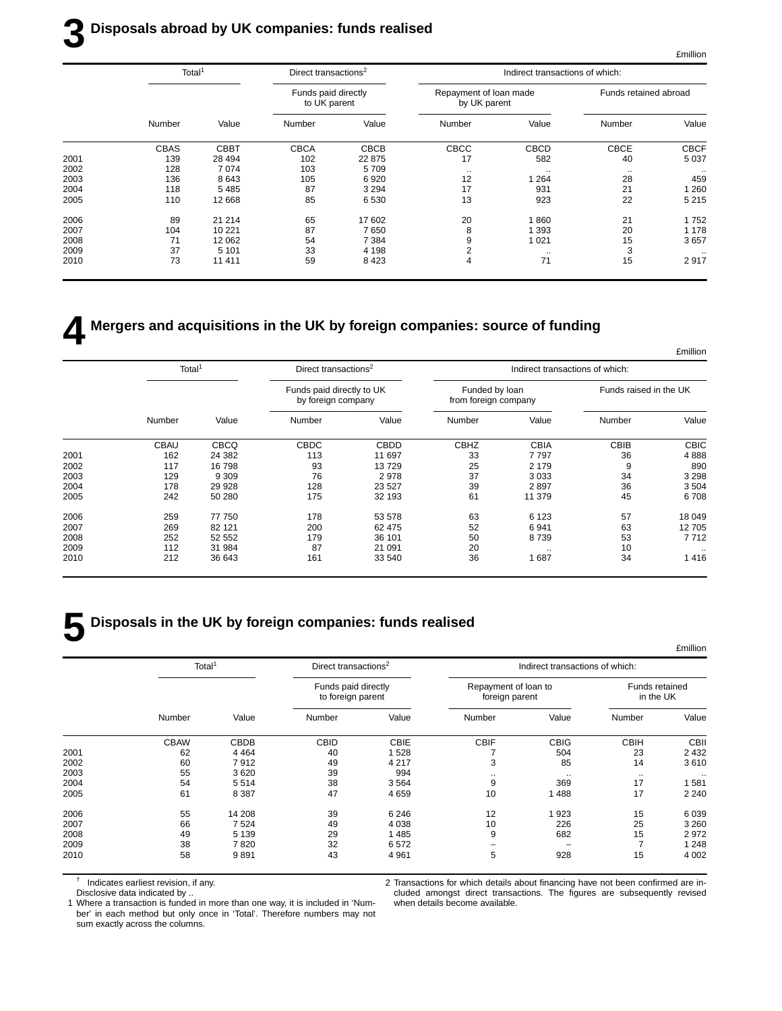# **3 Disposals abroad by UK companies: funds realised**

£million

|      | Total <sup>1</sup> |             | Direct transactions <sup>2</sup>    |             | Indirect transactions of which:<br>Repayment of loan made<br>by UK parent |             |                       |             |
|------|--------------------|-------------|-------------------------------------|-------------|---------------------------------------------------------------------------|-------------|-----------------------|-------------|
|      |                    |             | Funds paid directly<br>to UK parent |             |                                                                           |             | Funds retained abroad |             |
|      | Number             | Value       | Number                              | Value       | Number                                                                    | Value       | Number                | Value       |
|      | <b>CBAS</b>        | <b>CBBT</b> | <b>CBCA</b>                         | <b>CBCB</b> | CBCC                                                                      | <b>CBCD</b> | <b>CBCE</b>           | <b>CBCF</b> |
| 2001 | 139                | 28 4 94     | 102                                 | 22 875      | 17                                                                        | 582         | 40                    | 5 0 3 7     |
| 2002 | 128                | 7074        | 103                                 | 5709        | $\cdots$                                                                  | $\ldots$    | $\cdot$ .             |             |
| 2003 | 136                | 8643        | 105                                 | 6920        | 12                                                                        | 1 2 6 4     | 28                    | 459         |
| 2004 | 118                | 5485        | 87                                  | 3 2 9 4     | 17                                                                        | 931         | 21                    | 1 2 6 0     |
| 2005 | 110                | 12 668      | 85                                  | 6 5 3 0     | 13                                                                        | 923         | 22                    | 5 2 1 5     |
| 2006 | 89                 | 21 214      | 65                                  | 17 602      | 20                                                                        | 1860        | 21                    | 1752        |
| 2007 | 104                | 10 2 21     | 87                                  | 7650        | 8                                                                         | 1 3 9 3     | 20                    | 1 1 7 8     |
| 2008 | 71                 | 12 062      | 54                                  | 7 3 8 4     | 9                                                                         | 1 0 2 1     | 15                    | 3657        |
| 2009 | 37                 | 5 1 0 1     | 33                                  | 4 1 9 8     |                                                                           | $\cdots$    | 3                     | $\sim$      |
| 2010 | 73                 | 11 411      | 59                                  | 8 4 2 3     | 4                                                                         | 71          | 15                    | 2917        |

# **4 Mergers and acquisitions in the UK by foreign companies: source of funding**

|             | Indirect transactions of which:<br>Funds raised in the UK<br>Funded by Ioan<br>from foreign company |             |             | Direct transactions <sup>2</sup>                |             | Total <sup>1</sup> |             |      |
|-------------|-----------------------------------------------------------------------------------------------------|-------------|-------------|-------------------------------------------------|-------------|--------------------|-------------|------|
|             |                                                                                                     |             |             | Funds paid directly to UK<br>by foreign company |             |                    |             |      |
| Value       | Number                                                                                              | Value       | Number      | Value                                           | Number      | Value              | Number      |      |
| <b>CBIC</b> | <b>CBIB</b>                                                                                         | <b>CBIA</b> | <b>CBHZ</b> | <b>CBDD</b>                                     | <b>CBDC</b> | <b>CBCQ</b>        | <b>CBAU</b> |      |
| 4888        | 36                                                                                                  | 7797        | 33          | 11 697                                          | 113         | 24 3 8 2           | 162         | 2001 |
| 890         | 9                                                                                                   | 2 1 7 9     | 25          | 13729                                           | 93          | 16798              | 117         | 2002 |
| 3 2 9 8     | 34                                                                                                  | 3 0 3 3     | 37          | 2978                                            | 76          | 9 3 0 9            | 129         | 2003 |
| 3504        | 36                                                                                                  | 2897        | 39          | 23 5 27                                         | 128         | 29 9 28            | 178         | 2004 |
| 6708        | 45                                                                                                  | 11 379      | 61          | 32 193                                          | 175         | 50 280             | 242         | 2005 |
| 18 049      | 57                                                                                                  | 6 1 2 3     | 63          | 53 578                                          | 178         | 77 750             | 259         | 2006 |
| 12705       | 63                                                                                                  | 6941        | 52          | 62 475                                          | 200         | 82 121             | 269         | 2007 |
| 7712        | 53                                                                                                  | 8739        | 50          | 36 101                                          | 179         | 52 552             | 252         | 2008 |
| $\ldots$    | 10                                                                                                  | $\cdots$    | 20          | 21 091                                          | 87          | 31 984             | 112         | 2009 |
| 1416        | 34                                                                                                  | 1687        | 36          | 33 540                                          | 161         | 36 643             | 212         | 2010 |

# **5 Disposals in the UK by foreign companies: funds realised**

|                      | Indirect transactions of which:<br>Repayment of loan to<br>Funds retained<br>in the UK<br>foreign parent |             |             | Direct transactions <sup>2</sup>         |        | Total $1$   |             |      |
|----------------------|----------------------------------------------------------------------------------------------------------|-------------|-------------|------------------------------------------|--------|-------------|-------------|------|
|                      |                                                                                                          |             |             | Funds paid directly<br>to foreign parent |        |             |             |      |
| Value                | Number                                                                                                   | Value       | Number      | Value                                    | Number | Value       | Number      |      |
| <b>CBII</b>          | <b>CBIH</b>                                                                                              | <b>CBIG</b> | <b>CBIF</b> | <b>CBIE</b>                              | CBID   | <b>CBDB</b> | <b>CBAW</b> |      |
| 2 4 3 2              | 23                                                                                                       | 504         |             | 1528                                     | 40     | 4 4 6 4     | 62          | 2001 |
| 3610                 | 14                                                                                                       | 85          | 3           | 4 2 1 7                                  | 49     | 7912        | 60          | 2002 |
| $\ddot{\phantom{a}}$ | $\cdot$ .                                                                                                | $\cdots$    | $\cdots$    | 994                                      | 39     | 3620        | 55          | 2003 |
| 1581                 | 17                                                                                                       | 369         | 9           | 3564                                     | 38     | 5514        | 54          | 2004 |
| 2 2 4 0              | 17                                                                                                       | 488         | 10          | 4 6 5 9                                  | 47     | 8 3 8 7     | 61          | 2005 |
| 6 0 3 9              | 15                                                                                                       | 923         | 12          | 6 2 4 6                                  | 39     | 14 208      | 55          | 2006 |
| 3 2 6 0              | 25                                                                                                       | 226         | 10          | 4 0 38                                   | 49     | 7524        | 66          | 2007 |
| 2972                 | 15                                                                                                       | 682         | 9           | 1 4 8 5                                  | 29     | 5 1 3 9     | 49          | 2008 |
| 1 2 4 8              |                                                                                                          |             |             | 6572                                     | 32     | 7820        | 38          | 2009 |
| 4 0 0 2              | 15                                                                                                       | 928         | 5           | 4 9 6 1                                  | 43     | 9891        | 58          | 2010 |

† Indicates earliest revision, if any.

Disclosive data indicated by ..

2 Transactions for which details about financing have not been confirmed are included amongst direct transactions. The figures are subsequently revised when details become available.

1 Where a transaction is funded in more than one way, it is included in 'Number' in each method but only once in 'Total'. Therefore numbers may not sum exactly across the columns.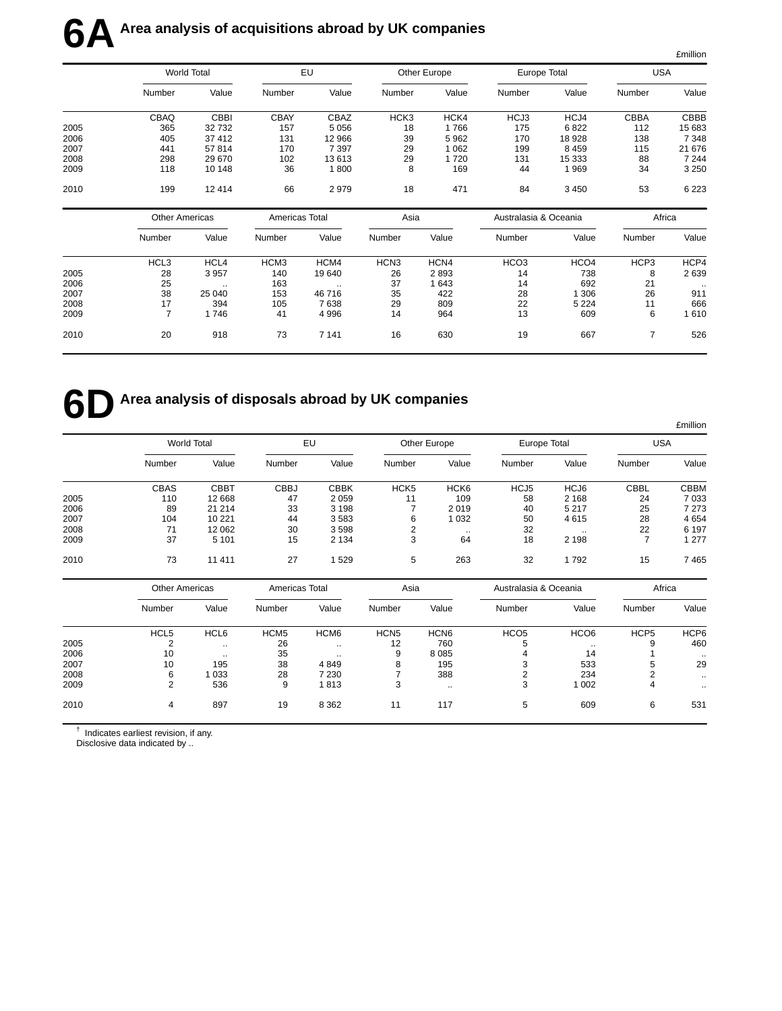|      |                       |               |                |          |                              |         |                       |                  |                | <b>£million</b> |
|------|-----------------------|---------------|----------------|----------|------------------------------|---------|-----------------------|------------------|----------------|-----------------|
|      |                       | World Total   |                | EU       | Other Europe<br>Europe Total |         |                       | <b>USA</b>       |                |                 |
|      | Number                | Value         | Number         | Value    | Number                       | Value   | Number                | Value            | Number         | Value           |
|      | CBAQ                  | CBBI          | <b>CBAY</b>    | CBAZ     | HCK3                         | HCK4    | HCJ3                  | HCJ4             | CBBA           | CBBB            |
| 2005 | 365                   | 32732         | 157            | 5 0 5 6  | 18                           | 1766    | 175                   | 6822             | 112            | 15 683          |
| 2006 | 405                   | 37 412        | 131            | 12 966   | 39                           | 5962    | 170                   | 18 928           | 138            | 7 3 4 8         |
| 2007 | 441                   | 57814         | 170            | 7 3 9 7  | 29                           | 1 0 6 2 | 199                   | 8 4 5 9          | 115            | 21 676          |
| 2008 | 298                   | 29 670        | 102            | 13613    | 29                           | 1720    | 131                   | 15 333           | 88             | 7 2 4 4         |
| 2009 | 118                   | 10 148        | 36             | 1800     | 8                            | 169     | 44                    | 1969             | 34             | 3 2 5 0         |
| 2010 | 199                   | 12 4 14       | 66             | 2979     | 18                           | 471     | 84                    | 3 4 5 0          | 53             | 6 2 2 3         |
|      | <b>Other Americas</b> |               | Americas Total |          | Asia                         |         | Australasia & Oceania |                  | Africa         |                 |
|      | Number                | Value         | Number         | Value    | Number                       | Value   | Number                | Value            | Number         | Value           |
|      | HCL3                  | HCL4          | HCM3           | HCM4     | HCN <sub>3</sub>             | HCN4    | HCO <sub>3</sub>      | HCO <sub>4</sub> | HCP3           | HCP4            |
| 2005 | 28                    | 3 9 5 7       | 140            | 19 640   | 26                           | 2893    | 14                    | 738              | 8              | 2639            |
| 2006 | 25                    | $\sim$ $\sim$ | 163            | $\ldots$ | 37                           | 1 6 4 3 | 14                    | 692              | 21             | $\ldots$        |
| 2007 | 38                    | 25 040        | 153            | 46 716   | 35                           | 422     | 28                    | 1 3 0 6          | 26             | 911             |
| 2008 | 17                    | 394           | 105            | 7638     | 29                           | 809     | 22                    | 5 2 2 4          | 11             | 666             |
| 2009 | 7                     | 1746          | 41             | 4 9 9 6  | 14                           | 964     | 13                    | 609              | 6              | 1610            |
| 2010 | 20                    | 918           | 73             | 7 1 4 1  | 16                           | 630     | 19                    | 667              | $\overline{7}$ | 526             |

# **6D** Area analysis of disposals abroad by UK companies

|      |                       |                    |                |             |                  |                  |                       |           |             | <b>£million</b> |
|------|-----------------------|--------------------|----------------|-------------|------------------|------------------|-----------------------|-----------|-------------|-----------------|
|      |                       | <b>World Total</b> |                | EU          | Other Europe     |                  | Europe Total          |           | <b>USA</b>  |                 |
|      | Number                | Value              | Number         | Value       | Number           | Value            | Number                | Value     | Number      | Value           |
|      | <b>CBAS</b>           | <b>CBBT</b>        | <b>CBBJ</b>    | <b>CBBK</b> | HCK <sub>5</sub> | HCK <sub>6</sub> | HCJ <sub>5</sub>      | HCJ6      | <b>CBBL</b> | <b>CBBM</b>     |
| 2005 | 110                   | 12 6 68            | 47             | 2059        | 11               | 109              | 58                    | 2 1 6 8   | 24          | 7033            |
| 2006 | 89                    | 21 214             | 33             | 3 1 9 8     |                  | 2019             | 40                    | 5 2 1 7   | 25          | 7 273           |
| 2007 | 104                   | 10 221             | 44             | 3583        | 6                | 1 0 3 2          | 50                    | 4615      | 28          | 4654            |
| 2008 | 71                    | 12 062             | 30             | 3598        | $\overline{2}$   | $\cdot$ .        | 32                    | $\cdot$ . | 22          | 6 1 9 7         |
| 2009 | 37                    | 5 1 0 1            | 15             | 2 1 3 4     | 3                | 64               | 18                    | 2 1 9 8   | ∍           | 1 277           |
| 2010 | 73                    | 11 411             | 27             | 1529        | 5                | 263              | 32                    | 1792      | 15          | 7465            |
|      | <b>Other Americas</b> |                    | Americas Total |             | Asia             |                  | Australasia & Oceania |           |             | Africa          |

|      | Number           | Value            | Number           | Value                | Number           | Value            | Number           | Value            | Number           | Value            |
|------|------------------|------------------|------------------|----------------------|------------------|------------------|------------------|------------------|------------------|------------------|
|      | HCL <sub>5</sub> | HCL <sub>6</sub> | HCM <sub>5</sub> | HCM <sub>6</sub>     | HCN <sub>5</sub> | HCN <sub>6</sub> | HCO <sub>5</sub> | HCO <sub>6</sub> | HCP <sub>5</sub> | HCP <sub>6</sub> |
| 2005 | 2                | $\cdots$         | 26               | $\ddot{\phantom{a}}$ | 12               | 760              | 5                | $\cdot$ .        |                  | 460              |
| 2006 | 10               | $\cdot$ .        | 35               |                      | 9                | 8 0 8 5          |                  | 14               |                  |                  |
| 2007 | 10               | 195              | 38               | 4849                 | 8                | 195              | З                | 533              | 5                | 29               |
| 2008 | 6                | 1 0 3 3          | 28               | 7 2 3 0              |                  | 388              |                  | 234              |                  | $\cdots$         |
| 2009 | າ                | 536              | 9                | 1813                 | 3                | $\cdot$ .        | 3                | 1002             | 4                |                  |
| 2010 | 4                | 897              | 19               | 8 3 6 2              |                  | 117              | 5                | 609              | 6                | 531              |
|      |                  |                  |                  |                      |                  |                  |                  |                  |                  |                  |

† Indicates earliest revision, if any.

Disclosive data indicated by ..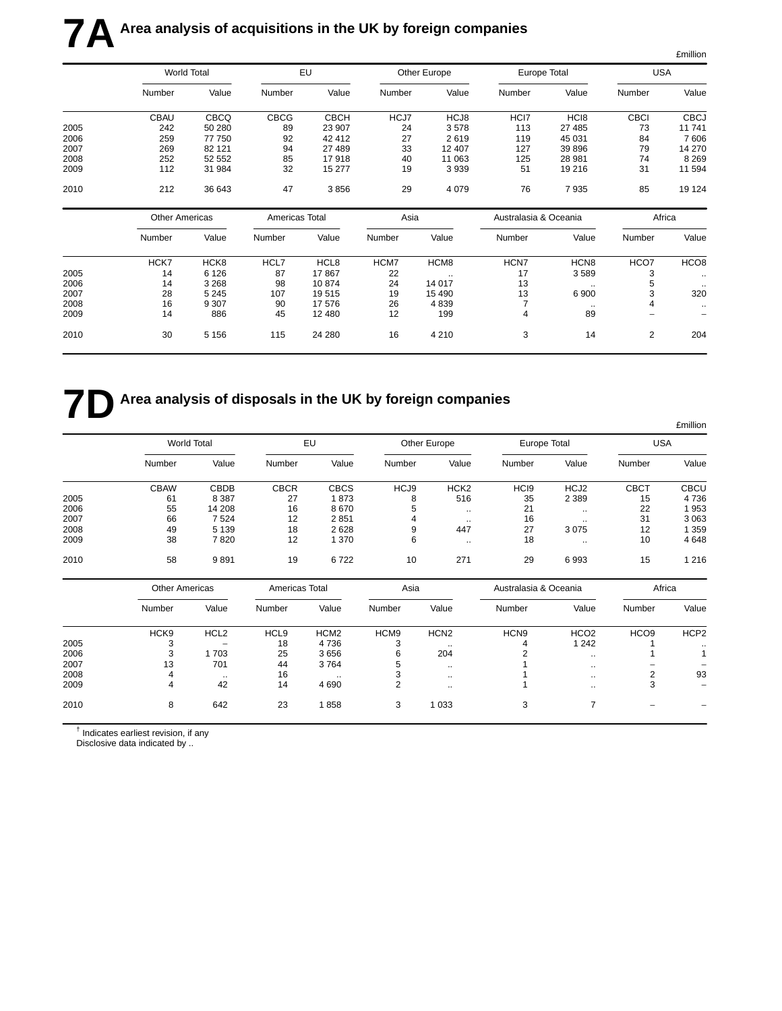# **7A** Area analysis of acquisitions in the UK by foreign companies

|      |             |                       |             |                |        |              |        |                       |                | <b>£million</b>  |  |
|------|-------------|-----------------------|-------------|----------------|--------|--------------|--------|-----------------------|----------------|------------------|--|
|      |             | World Total           |             | EU             |        | Other Europe |        | Europe Total          |                | <b>USA</b>       |  |
|      | Number      | Value                 | Number      | Value          | Number | Value        | Number | Value                 | Number         | Value            |  |
|      | <b>CBAU</b> | <b>CBCQ</b>           | <b>CBCG</b> | <b>CBCH</b>    | HCJ7   | HCJ8         | HCI7   | HC <sub>18</sub>      | <b>CBCI</b>    | <b>CBCJ</b>      |  |
| 2005 | 242         | 50 280                | 89          | 23 907         | 24     | 3578         | 113    | 27 485                | 73             | 11741            |  |
| 2006 | 259         | 77750                 | 92          | 42 412         | 27     | 2619         | 119    | 45 031                | 84             | 7606             |  |
| 2007 | 269         | 82 121                | 94          | 27 489         | 33     | 12 407       | 127    | 39 896                | 79             | 14 270           |  |
| 2008 | 252         | 52 552                | 85          | 17918          | 40     | 11 063       | 125    | 28 981                | 74             | 8 2 6 9          |  |
| 2009 | 112         | 31 984                | 32          | 15 277         | 19     | 3939         | 51     | 19 216                | 31             | 11 594           |  |
| 2010 | 212         | 36 643                | 47          | 3856           | 29     | 4079         | 76     | 7935                  | 85             | 19 124           |  |
|      |             | <b>Other Americas</b> |             | Americas Total |        | Asia         |        | Australasia & Oceania |                | Africa           |  |
|      | Number      | Value                 | Number      | Value          | Number | Value        | Number | Value                 | Number         | Value            |  |
|      | HCK7        | HCK8                  | HCL7        | HCL8           | HCM7   | HCM8         | HCN7   | HCN <sub>8</sub>      | HCO7           | HCO <sub>8</sub> |  |
| 2005 | 14          | 6 1 2 6               | 87          | 17867          | 22     | $\ldots$     | 17     | 3589                  | 3              | $\ldots$         |  |
| 2006 | 14          | 3 2 6 8               | 98          | 10874          | 24     | 14 017       | 13     | $\cdot$ .             | 5              | $\ddotsc$        |  |
| 2007 | 28          | 5 2 4 5               | 107         | 19515          | 19     | 15 4 90      | 13     | 6 900                 | 3              | 320              |  |
| 2008 | 16          | 9 3 0 7               | 90          | 17 576         | 26     | 4839         |        | $\cdot$ .             | 4              |                  |  |
| 2009 | 14          | 886                   | 45          | 12 480         | 12     | 199          | 4      | 89                    |                |                  |  |
| 2010 | 30          | 5 1 5 6               | 115         | 24 280         | 16     | 4 2 1 0      | 3      | 14                    | $\overline{2}$ | 204              |  |

# **7D** Area analysis of disposals in the UK by foreign companies

|      |                       |                  |                  |                  |        |                  |                       |                  |                  | <b>£million</b>      |
|------|-----------------------|------------------|------------------|------------------|--------|------------------|-----------------------|------------------|------------------|----------------------|
|      | <b>World Total</b>    |                  |                  | EU               |        | Other Europe     | Europe Total          |                  | <b>USA</b>       |                      |
|      | Number                | Value            | Number           | Value            | Number | Value            | Number                | Value            | Number           | Value                |
|      | <b>CBAW</b>           | <b>CBDB</b>      | <b>CBCR</b>      | <b>CBCS</b>      | HCJ9   | HCK <sub>2</sub> | HCI9                  | HCJ2             | <b>CBCT</b>      | <b>CBCU</b>          |
| 2005 | 61                    | 8 3 8 7          | 27               | 1873             | 8      | 516              | 35                    | 2 3 8 9          | 15               | 4736                 |
| 2006 | 55                    | 14 208           | 16               | 8670             | 5      | $\ddotsc$        | 21                    |                  | 22               | 1953                 |
| 2007 | 66                    | 7524             | 12               | 2851             | 4      |                  | 16                    |                  | 31               | 3 0 6 3              |
| 2008 | 49                    | 5 1 3 9          | 18               | 2628             | 9      | 447              | 27                    | 3075             | 12               | 1 3 5 9              |
| 2009 | 38                    | 7820             | 12               | 1 370            | 6      | $\cdot\cdot$     | 18                    |                  | 10               | 4648                 |
| 2010 | 58                    | 9891             | 19               | 6722             | 10     | 271              | 29                    | 6993             | 15               | 1 2 1 6              |
|      | <b>Other Americas</b> |                  |                  | Americas Total   |        | Asia             | Australasia & Oceania |                  | Africa           |                      |
|      | Number                | Value            | Number           | Value            | Number | Value            | Number                | Value            | Number           | Value                |
|      | HCK9                  | HCL <sub>2</sub> | HCL <sub>9</sub> | HCM <sub>2</sub> | HCM9   | HCN <sub>2</sub> | HCN <sub>9</sub>      | HCO <sub>2</sub> | HCO <sub>9</sub> | HCP <sub>2</sub>     |
| 2005 | 3                     |                  | 18               | 4736             | 3      | $\cdot$          |                       | 1 2 4 2          |                  | $\ddot{\phantom{1}}$ |
| 2006 | 3                     | 1703             | 25               | 3656             | 6      | 204              |                       | $\ddotsc$        |                  |                      |
| 2007 | 13                    | 701              | 44               | 3764             | 5      |                  |                       |                  |                  |                      |

2008 4 .. 16 .. 3 .. 1 .. 2 93 2009 4 42 14 4 690 2 .. 1 .. 3 − 2010 8 642 23 1 858 3 1 033 3 7 − −

† Indicates earliest revision, if any

Disclosive data indicated by ..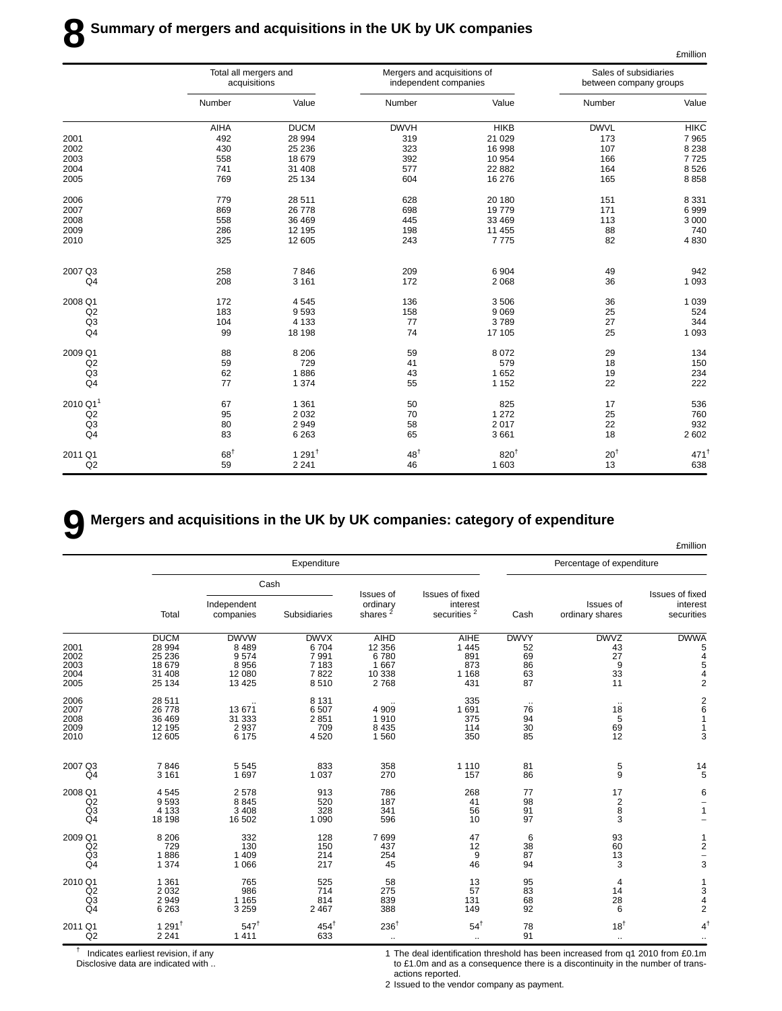|                      |                | Total all mergers and<br>acquisitions |                | Mergers and acquisitions of<br>independent companies | Sales of subsidiaries<br>between company groups |                    |
|----------------------|----------------|---------------------------------------|----------------|------------------------------------------------------|-------------------------------------------------|--------------------|
|                      | Number         | Value                                 | Number         | Value                                                | Number                                          | Value              |
|                      | <b>AIHA</b>    | <b>DUCM</b>                           | <b>DWVH</b>    | <b>HIKB</b>                                          | <b>DWVL</b>                                     | <b>HIKC</b>        |
| 2001                 | 492            | 28 994                                | 319            | 21 0 29                                              | 173                                             | 7965               |
| 2002                 | 430            | 25 236                                | 323            | 16 998                                               | 107                                             | 8 2 3 8            |
| 2003                 | 558            | 18 679                                | 392            | 10 954                                               | 166                                             | 7725               |
| 2004                 | 741            | 31 408                                | 577            | 22 882                                               | 164                                             | 8526               |
| 2005                 | 769            | 25 134                                | 604            | 16 276                                               | 165                                             | 8858               |
| 2006                 | 779            | 28 511                                | 628            | 20 180                                               | 151                                             | 8 3 3 1            |
| 2007                 | 869            | 26 778                                | 698            | 19779                                                | 171                                             | 6999               |
| 2008                 | 558            | 36 469                                | 445            | 33 469                                               | 113                                             | 3 0 0 0            |
| 2009                 | 286            | 12 195                                | 198            | 11 455                                               | 88                                              | 740                |
| 2010                 | 325            | 12 605                                | 243            | 7775                                                 | 82                                              | 4830               |
| 2007 Q3              | 258            | 7846                                  | 209            | 6 9 0 4                                              | 49                                              | 942                |
| Q4                   | 208            | 3 1 6 1                               | 172            | 2 0 6 8                                              | 36                                              | 1 0 9 3            |
| 2008 Q1              | 172            | 4545                                  | 136            | 3506                                                 | 36                                              | 1 0 3 9            |
| Q2                   | 183            | 9593                                  | 158            | 9 0 6 9                                              | 25                                              | 524                |
| Q <sub>3</sub>       | 104            | 4 1 3 3                               | 77             | 3789                                                 | 27                                              | 344                |
| Q4                   | 99             | 18 198                                | 74             | 17 105                                               | 25                                              | 1 0 9 3            |
| 2009 Q1              | 88             | 8 2 0 6                               | 59             | 8 0 7 2                                              | 29                                              | 134                |
| Q2                   | 59             | 729                                   | 41             | 579                                                  | 18                                              | 150                |
| Q <sub>3</sub>       | 62             | 1886                                  | 43             | 1652                                                 | 19                                              | 234                |
| Q4                   | 77             | 1 3 7 4                               | 55             | 1 1 5 2                                              | 22                                              | 222                |
| 2010 Q1 <sup>1</sup> | 67             | 1 3 6 1                               | 50             | 825                                                  | 17                                              | 536                |
| Q2                   | 95             | 2 0 3 2                               | 70             | 1 2 7 2                                              | 25                                              | 760                |
| Q <sub>3</sub>       | 80             | 2949                                  | 58             | 2017                                                 | 22                                              | 932                |
| Q <sub>4</sub>       | 83             | 6 2 6 3                               | 65             | 3661                                                 | 18                                              | 2 602              |
| 2011 Q1              | $68^{\dagger}$ | $1291^{\dagger}$                      | $48^{\dagger}$ | 820 <sup>†</sup>                                     | $20^{\dagger}$                                  | $471$ <sup>t</sup> |
| Q2                   | 59             | 2 2 4 1                               | 46             | 1 603                                                | 13                                              | 638                |

# **9 Mergers and acquisitions in the UK by UK companies: category of expenditure**

|                                                   |                                                               |                                                             |                                                        |                                                     |                                                        |                                           |                                                    | <b>£million</b>                                                 |
|---------------------------------------------------|---------------------------------------------------------------|-------------------------------------------------------------|--------------------------------------------------------|-----------------------------------------------------|--------------------------------------------------------|-------------------------------------------|----------------------------------------------------|-----------------------------------------------------------------|
|                                                   |                                                               |                                                             | Expenditure                                            |                                                     |                                                        |                                           | Percentage of expenditure                          |                                                                 |
|                                                   |                                                               |                                                             | Cash                                                   |                                                     |                                                        |                                           |                                                    |                                                                 |
|                                                   | Total                                                         | Independent<br>companies                                    | Subsidiaries                                           | Issues of<br>ordinary<br>shares <sup>2</sup>        | Issues of fixed<br>interest<br>securities <sup>2</sup> | Cash                                      | Issues of<br>ordinary shares                       | Issues of fixed<br>interest<br>securities                       |
| 2001<br>2002<br>2003<br>2004<br>2005              | <b>DUCM</b><br>28 994<br>25 236<br>18 679<br>31 408<br>25 134 | <b>DWVW</b><br>8 4 8 9<br>9574<br>8956<br>12 080<br>13 4 25 | <b>DWVX</b><br>6704<br>7991<br>7 1 8 3<br>7822<br>8510 | AIHD<br>12 3 5 6<br>6780<br>1 667<br>10 338<br>2768 | AIHE<br>1 4 4 5<br>891<br>873<br>1 1 6 8<br>431        | <b>DWVY</b><br>52<br>69<br>86<br>63<br>87 | <b>DWVZ</b><br>43<br>27<br>9<br>33<br>11           | <b>DWWA</b><br>5<br>4<br>5<br>$\frac{4}{2}$                     |
| 2006<br>2007<br>2008<br>2009<br>2010              | 28 511<br>26 778<br>36 469<br>12 195<br>12 605                | 13 671<br>31 333<br>2937<br>6 175                           | 8 1 3 1<br>6507<br>2851<br>709<br>4520                 | 4 9 0 9<br>1910<br>8 4 3 5<br>1 5 6 0               | 335<br>1691<br>375<br>114<br>350                       | 76<br>94<br>30<br>85                      | $\begin{array}{c} 18 \\ 5 \end{array}$<br>69<br>12 | $\begin{array}{c} 2 \\ 6 \\ 1 \end{array}$<br>$\mathbf{1}$<br>3 |
| 2007 Q3<br>Q4                                     | 7846<br>3 1 6 1                                               | 5 5 4 5<br>1 6 9 7                                          | 833<br>1 0 3 7                                         | 358<br>270                                          | 1 1 1 0<br>157                                         | 81<br>86                                  | $\frac{5}{9}$                                      | $\begin{array}{c} 14 \\ 5 \end{array}$                          |
| 2008 Q1<br>Q2<br>Q <sub>3</sub><br>Q <sub>4</sub> | 4545<br>9593<br>4 1 3 3<br>18 198                             | 2578<br>8845<br>3 4 0 8<br>16 502                           | 913<br>520<br>328<br>1 0 9 0                           | 786<br>187<br>341<br>596                            | 268<br>41<br>56<br>10                                  | 77<br>98<br>91<br>97                      | 17<br>2<br>8<br>3                                  | 6<br>$\mathbf{1}$                                               |
| 2009 Q1<br>Q2<br>Q3<br>Q <sub>4</sub>             | 8 2 0 6<br>729<br>1886<br>1 3 7 4                             | 332<br>130<br>1 4 0 9<br>1 0 6 6                            | 128<br>150<br>214<br>217                               | 7699<br>437<br>254<br>45                            | 47<br>12<br>9<br>46                                    | 6<br>38<br>87<br>94                       | 93<br>$60$<br>13<br>3                              | 1<br>$\overline{c}$<br>3                                        |
| 2010 Q1<br>Q2<br>Q <sub>3</sub><br>Q <sub>4</sub> | 1 3 6 1<br>2 0 3 2<br>2949<br>6 2 6 3                         | 765<br>986<br>1 1 6 5<br>3 2 5 9                            | 525<br>714<br>814<br>2467                              | 58<br>275<br>839<br>388                             | 13<br>57<br>131<br>149                                 | 95<br>83<br>68<br>92                      | 4<br>14<br>28<br>6                                 | $\mathbf{1}$<br>$\begin{array}{c} 3 \\ 4 \\ 2 \end{array}$      |
| 2011 Q1<br>Q2                                     | $1291^{\dagger}$<br>2 2 4 1                                   | $547^{\dagger}$<br>1 4 1 1                                  | $454^\dagger$<br>633                                   | $236^{\dagger}$<br>$\cdot$ .                        | $54^1$<br>$\cdot$ .                                    | 78<br>91                                  | $18^{\dagger}$<br>$\cdot$ .                        | $4^{\dagger}$<br>$\ldots$                                       |

† Indicates earliest revision, if any

Disclosive data are indicated with ..

1 The deal identification threshold has been increased from q1 2010 from £0.1m to £1.0m and as a consequence there is a discontinuity in the number of transactions reported.

£million

2 Issued to the vendor company as payment.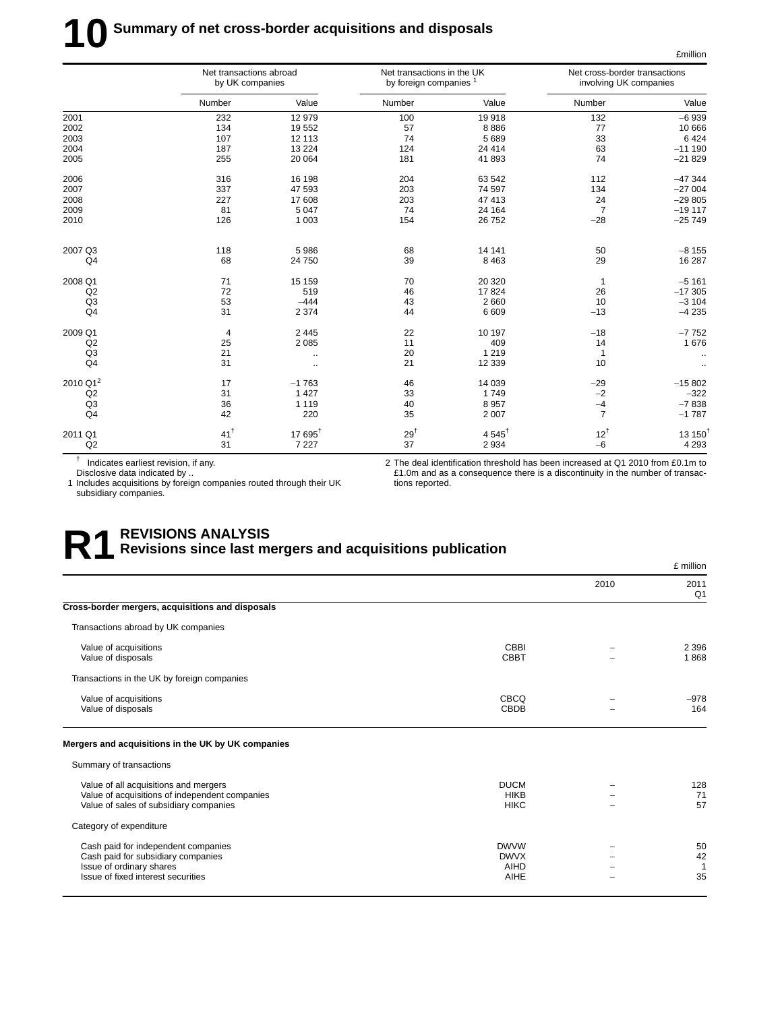# **10** Summary of net cross-border acquisitions and disposals

|                      | Net transactions abroad<br>by UK companies |                   | Net transactions in the UK<br>by foreign companies <sup>1</sup> |                   | Net cross-border transactions<br>involving UK companies |                    |
|----------------------|--------------------------------------------|-------------------|-----------------------------------------------------------------|-------------------|---------------------------------------------------------|--------------------|
|                      | Number                                     | Value             | Number                                                          | Value             | Number                                                  | Value              |
| 2001                 | 232                                        | 12 979            | 100                                                             | 19918             | 132                                                     | $-6939$            |
| 2002                 | 134                                        | 19552             | 57                                                              | 8886              | 77                                                      | 10 666             |
| 2003                 | 107                                        | 12 113            | 74                                                              | 5 6 8 9           | 33                                                      | 6424               |
| 2004                 | 187                                        | 13 2 24           | 124                                                             | 24 4 14           | 63                                                      | $-111190$          |
| 2005                 | 255                                        | 20 064            | 181                                                             | 41 893            | 74                                                      | $-21829$           |
| 2006                 | 316                                        | 16 198            | 204                                                             | 63 542            | 112                                                     | $-47344$           |
| 2007                 | 337                                        | 47 593            | 203                                                             | 74 597            | 134                                                     | $-27004$           |
| 2008                 | 227                                        | 17 608            | 203                                                             | 47 413            | 24                                                      | $-29805$           |
| 2009                 | 81                                         | 5 0 4 7           | 74                                                              | 24 164            | $\overline{7}$                                          | $-19117$           |
| 2010                 | 126                                        | 1 0 0 3           | 154                                                             | 26 752            | $-28$                                                   | $-25749$           |
| 2007 Q3              |                                            | 5986              |                                                                 |                   |                                                         |                    |
|                      | 118<br>68                                  | 24 750            | 68<br>39                                                        | 14 141<br>8 4 6 3 | 50<br>29                                                | $-8155$            |
| Q <sub>4</sub>       |                                            |                   |                                                                 |                   |                                                         | 16 287             |
| 2008 Q1              | 71                                         | 15 159            | 70                                                              | 20 320            | $\mathbf{1}$                                            | $-5161$            |
| Q2                   | 72                                         | 519               | 46                                                              | 17824             | 26                                                      | $-17305$           |
| Q <sub>3</sub>       | 53                                         | $-444$            | 43                                                              | 2 6 6 0           | 10                                                      | $-3104$            |
| Q <sub>4</sub>       | 31                                         | 2 3 7 4           | 44                                                              | 6 6 0 9           | $-13$                                                   | $-4235$            |
| 2009 Q1              | $\overline{a}$                             | 2 4 4 5           | 22                                                              | 10 197            | $-18$                                                   | $-7752$            |
| Q2                   | 25                                         | 2 0 8 5           | 11                                                              | 409               | 14                                                      | 1676               |
| Q <sub>3</sub>       | 21                                         | $\ddotsc$         | 20                                                              | 1 2 1 9           | $\mathbf{1}$                                            |                    |
| Q <sub>4</sub>       | 31                                         | $\ddotsc$         | 21                                                              | 12 339            | 10                                                      | $\ldots$           |
| 2010 Q1 <sup>2</sup> | 17                                         | $-1763$           | 46                                                              | 14 0 39           | $-29$                                                   | $-15802$           |
| Q2                   | 31                                         | 1 4 2 7           | 33                                                              | 1749              | $-2$                                                    | $-322$             |
| Q <sub>3</sub>       | 36                                         | 1 1 1 9           | 40                                                              | 8 9 5 7           | $-4$                                                    | $-7838$            |
| Q4                   | 42                                         | 220               | 35                                                              | 2 0 0 7           | $\overline{7}$                                          | $-1787$            |
| 2011 Q1              | $41^{\dagger}$                             | $17695^{\dagger}$ | $29^{\dagger}$                                                  | $4545^{\dagger}$  | $12^{\dagger}$                                          | $13 150^{\dagger}$ |
| Q2                   | 31                                         | 7 2 2 7           | 37                                                              | 2 9 3 4           | $-6$                                                    | 4 2 9 3            |

† Indicates earliest revision, if any.

Disclosive data indicated by ..

1 Includes acquisitions by foreign companies routed through their UK subsidiary companies.

2 The deal identification threshold has been increased at Q1 2010 from £0.1m to £1.0m and as a consequence there is a discontinuity in the number of transactions reported.

# **R1 REVISIONS ANALYSIS Revisions since last mergers and acquisitions publication**

|                                                                                                                                             |                                                          |      | £ million                        |
|---------------------------------------------------------------------------------------------------------------------------------------------|----------------------------------------------------------|------|----------------------------------|
|                                                                                                                                             |                                                          | 2010 | 2011<br>Q <sub>1</sub>           |
| Cross-border mergers, acquisitions and disposals                                                                                            |                                                          |      |                                  |
| Transactions abroad by UK companies                                                                                                         |                                                          |      |                                  |
| Value of acquisitions<br>Value of disposals                                                                                                 | <b>CBBI</b><br><b>CBBT</b>                               |      | 2 3 9 6<br>1868                  |
| Transactions in the UK by foreign companies                                                                                                 |                                                          |      |                                  |
| Value of acquisitions<br>Value of disposals                                                                                                 | <b>CBCQ</b><br><b>CBDB</b>                               |      | $-978$<br>164                    |
| Mergers and acquisitions in the UK by UK companies                                                                                          |                                                          |      |                                  |
| Summary of transactions                                                                                                                     |                                                          |      |                                  |
| Value of all acquisitions and mergers<br>Value of acquisitions of independent companies<br>Value of sales of subsidiary companies           | <b>DUCM</b><br><b>HIKB</b><br><b>HIKC</b>                |      | 128<br>71<br>57                  |
| Category of expenditure                                                                                                                     |                                                          |      |                                  |
| Cash paid for independent companies<br>Cash paid for subsidiary companies<br>Issue of ordinary shares<br>Issue of fixed interest securities | <b>DWVW</b><br><b>DWVX</b><br><b>AIHD</b><br><b>AIHE</b> |      | 50<br>42<br>$\overline{1}$<br>35 |

£million